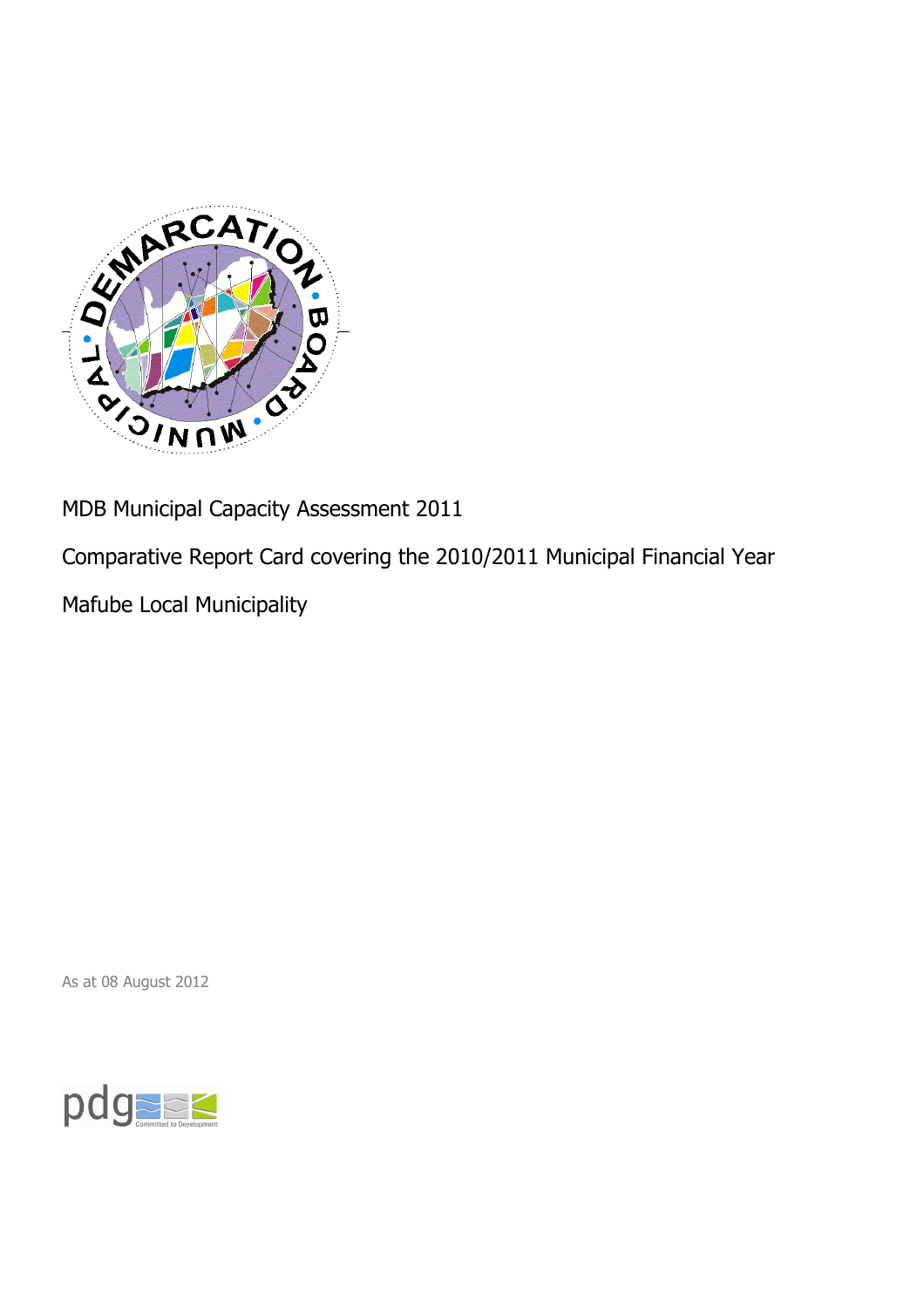

MDB Municipal Capacity Assessment 2011

Comparative Report Card covering the 2010/2011 Municipal Financial Year

Mafube Local Municipality

As at 08 August 2012

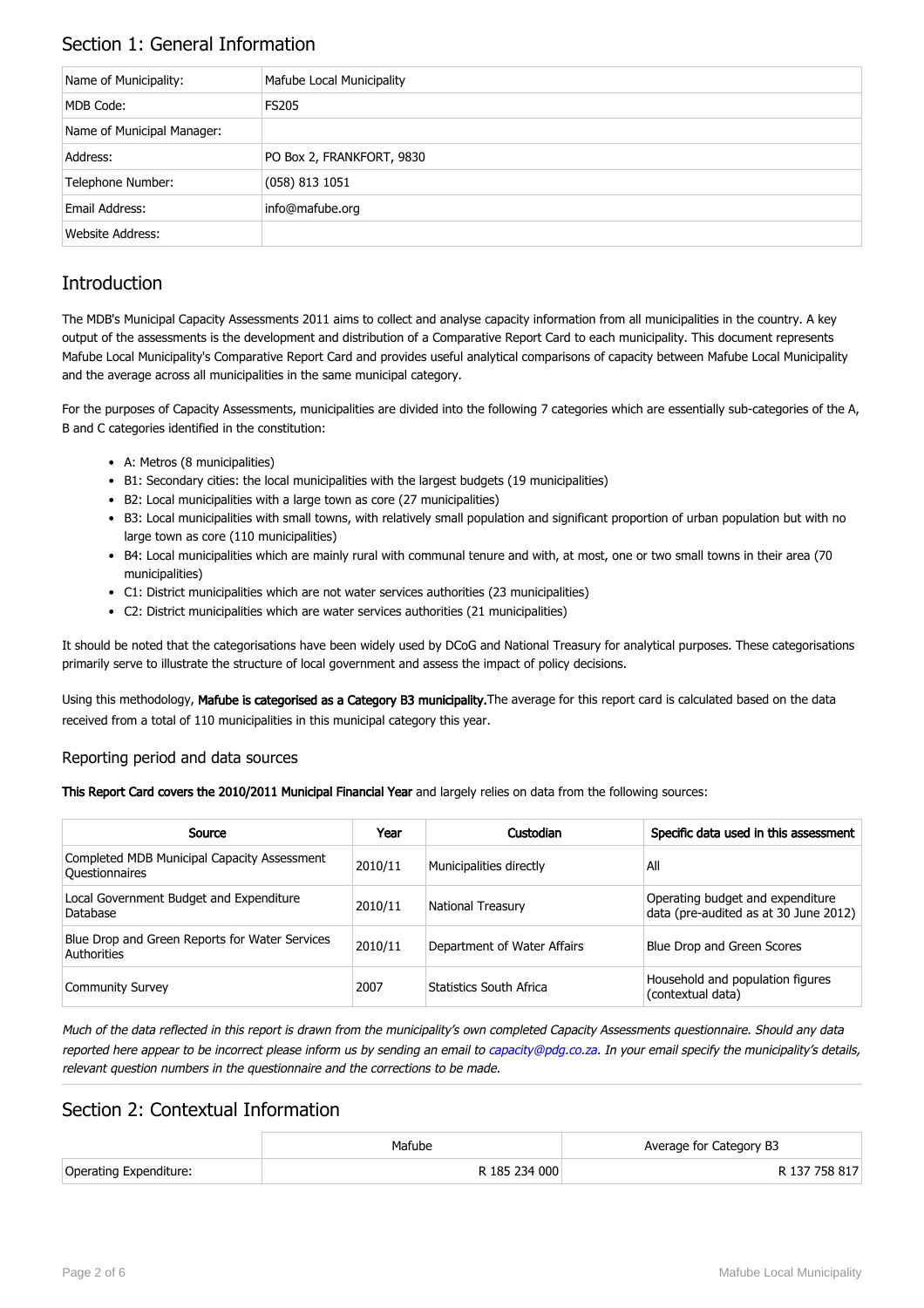## Section 1: General Information

| Name of Municipality:      | Mafube Local Municipality |
|----------------------------|---------------------------|
| MDB Code:                  | <b>FS205</b>              |
| Name of Municipal Manager: |                           |
| Address:                   | PO Box 2, FRANKFORT, 9830 |
| Telephone Number:          | $(058)$ 813 1051          |
| Email Address:             | info@mafube.org           |
| Website Address:           |                           |

## **Introduction**

The MDB's Municipal Capacity Assessments 2011 aims to collect and analyse capacity information from all municipalities in the country. A key output of the assessments is the development and distribution of a Comparative Report Card to each municipality. This document represents Mafube Local Municipality's Comparative Report Card and provides useful analytical comparisons of capacity between Mafube Local Municipality and the average across all municipalities in the same municipal category.

For the purposes of Capacity Assessments, municipalities are divided into the following 7 categories which are essentially sub-categories of the A, B and C categories identified in the constitution:

- A: Metros (8 municipalities)
- B1: Secondary cities: the local municipalities with the largest budgets (19 municipalities)
- B2: Local municipalities with a large town as core (27 municipalities)
- B3: Local municipalities with small towns, with relatively small population and significant proportion of urban population but with no large town as core (110 municipalities)
- B4: Local municipalities which are mainly rural with communal tenure and with, at most, one or two small towns in their area (70 municipalities)
- C1: District municipalities which are not water services authorities (23 municipalities)
- C2: District municipalities which are water services authorities (21 municipalities)

It should be noted that the categorisations have been widely used by DCoG and National Treasury for analytical purposes. These categorisations primarily serve to illustrate the structure of local government and assess the impact of policy decisions.

Using this methodology, Mafube is categorised as a Category B3 municipality. The average for this report card is calculated based on the data received from a total of 110 municipalities in this municipal category this year.

#### Reporting period and data sources

This Report Card covers the 2010/2011 Municipal Financial Year and largely relies on data from the following sources:

| Source                                                               | Year    | Custodian                   | Specific data used in this assessment                                     |
|----------------------------------------------------------------------|---------|-----------------------------|---------------------------------------------------------------------------|
| Completed MDB Municipal Capacity Assessment<br><b>Ouestionnaires</b> | 2010/11 | Municipalities directly     | All                                                                       |
| Local Government Budget and Expenditure<br>Database                  | 2010/11 | <b>National Treasury</b>    | Operating budget and expenditure<br>data (pre-audited as at 30 June 2012) |
| Blue Drop and Green Reports for Water Services<br>Authorities        | 2010/11 | Department of Water Affairs | Blue Drop and Green Scores                                                |
| <b>Community Survey</b>                                              | 2007    | Statistics South Africa     | Household and population figures<br>(contextual data)                     |

Much of the data reflected in this report is drawn from the municipality's own completed Capacity Assessments questionnaire. Should any data reported here appear to be incorrect please inform us by sending an email to [capacity@pdg.co.za](mailto:capacity@pdg.co.za). In your email specify the municipality's details, relevant question numbers in the questionnaire and the corrections to be made.

### Section 2: Contextual Information

|                        | Mafube        | Average for Category B3 |
|------------------------|---------------|-------------------------|
| Operating Expenditure: | R 185 234 000 | R 137 758 817           |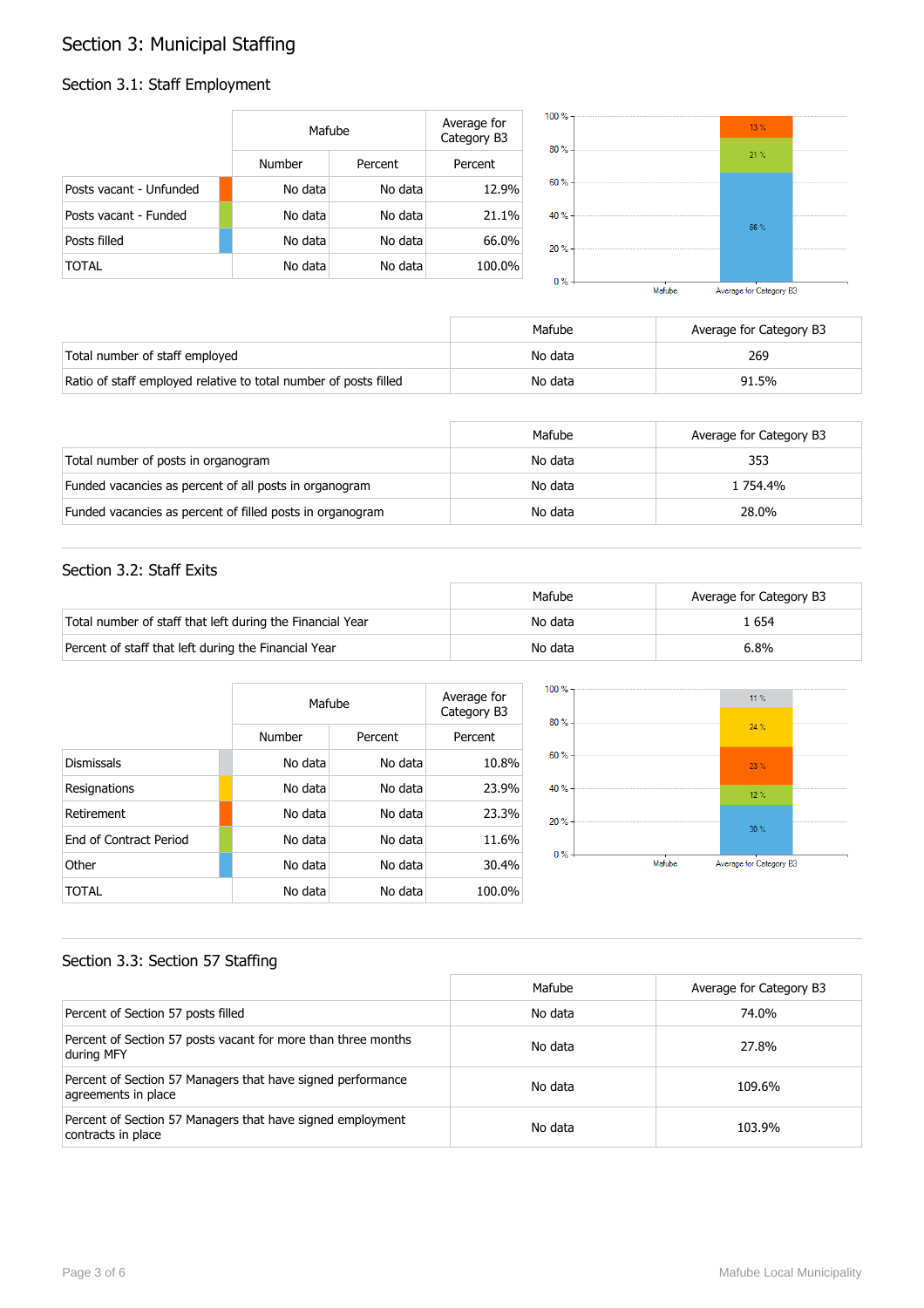# Section 3: Municipal Staffing

#### Section 3.1: Staff Employment

|                         | Mafube  |         | Average for<br>Category B3 |
|-------------------------|---------|---------|----------------------------|
|                         | Number  | Percent | Percent                    |
| Posts vacant - Unfunded | No data | No data | 12.9%                      |
| Posts vacant - Funded   | No data | No data | 21.1%                      |
| Posts filled            | No data | No data | 66.0%                      |
| TOTAL                   | No data | No data | 100.0%                     |



|                                                                  | Mafube  | Average for Category B3 |
|------------------------------------------------------------------|---------|-------------------------|
| Total number of staff employed                                   | No data | 269                     |
| Ratio of staff employed relative to total number of posts filled | No data | 91.5%                   |

|                                                           | Mafube  | Average for Category B3 |
|-----------------------------------------------------------|---------|-------------------------|
| Total number of posts in organogram                       | No data | 353                     |
| Funded vacancies as percent of all posts in organogram    | No data | 1 754.4%                |
| Funded vacancies as percent of filled posts in organogram | No data | 28.0%                   |

#### Section 3.2: Staff Exits

|                                                           | Mafube  | Average for Category B3 |
|-----------------------------------------------------------|---------|-------------------------|
| Total number of staff that left during the Financial Year | No data | . 654                   |
| Percent of staff that left during the Financial Year      | No data | 6.8%                    |

|                               |         | Mafube  |         |
|-------------------------------|---------|---------|---------|
|                               | Number  | Percent | Percent |
| <b>Dismissals</b>             | No data | No data | 10.8%   |
| Resignations                  | No data | No data | 23.9%   |
| Retirement                    | No data | No data | 23.3%   |
| <b>Fnd of Contract Period</b> | No data | No data | 11.6%   |
| Other                         | No data | No data | 30.4%   |
| TOTAL                         | No data | No data | 100.0%  |



#### Section 3.3: Section 57 Staffing

|                                                                                    | Mafube  | Average for Category B3 |
|------------------------------------------------------------------------------------|---------|-------------------------|
| Percent of Section 57 posts filled                                                 | No data | 74.0%                   |
| Percent of Section 57 posts vacant for more than three months<br>during MFY        | No data | 27.8%                   |
| Percent of Section 57 Managers that have signed performance<br>agreements in place | No data | 109.6%                  |
| Percent of Section 57 Managers that have signed employment<br>contracts in place   | No data | 103.9%                  |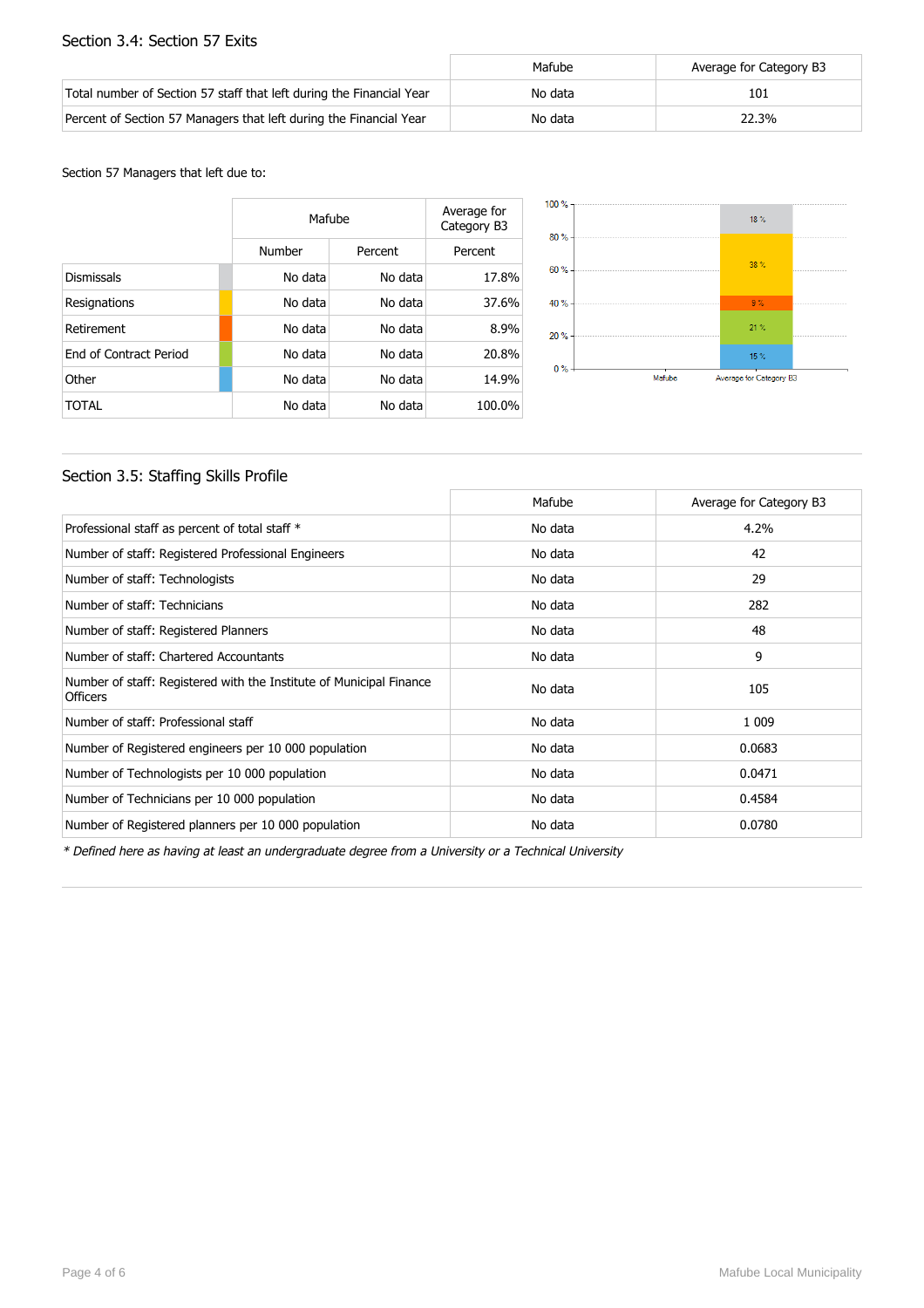#### Section 3.4: Section 57 Exits

|                                                                      | Mafube  | Average for Category B3 |
|----------------------------------------------------------------------|---------|-------------------------|
| Total number of Section 57 staff that left during the Financial Year | No data | 101                     |
| Percent of Section 57 Managers that left during the Financial Year   | No data | 22.3%                   |

Section 57 Managers that left due to:

|                        | Mafube  |         | Average for<br>Category B3 |
|------------------------|---------|---------|----------------------------|
|                        | Number  | Percent | Percent                    |
| <b>Dismissals</b>      | No data | No data | 17.8%                      |
| Resignations           | No data | No data | 37.6%                      |
| Retirement             | No data | No data | 8.9%                       |
| End of Contract Period | No data | No data | 20.8%                      |
| Other                  | No data | No data | 14.9%                      |
| TOTAL                  | No data | No data | 100.0%                     |



#### Section 3.5: Staffing Skills Profile

|                                                                                        | Mafube  | Average for Category B3 |
|----------------------------------------------------------------------------------------|---------|-------------------------|
| Professional staff as percent of total staff *                                         | No data | 4.2%                    |
| Number of staff: Registered Professional Engineers                                     | No data | 42                      |
| Number of staff: Technologists                                                         | No data | 29                      |
| Number of staff: Technicians                                                           | No data | 282                     |
| Number of staff: Registered Planners                                                   | No data | 48                      |
| Number of staff: Chartered Accountants                                                 | No data | 9                       |
| Number of staff: Registered with the Institute of Municipal Finance<br><b>Officers</b> | No data | 105                     |
| Number of staff: Professional staff                                                    | No data | 1 0 0 9                 |
| Number of Registered engineers per 10 000 population                                   | No data | 0.0683                  |
| Number of Technologists per 10 000 population                                          | No data | 0.0471                  |
| Number of Technicians per 10 000 population                                            | No data | 0.4584                  |
| Number of Registered planners per 10 000 population                                    | No data | 0.0780                  |

\* Defined here as having at least an undergraduate degree from a University or a Technical University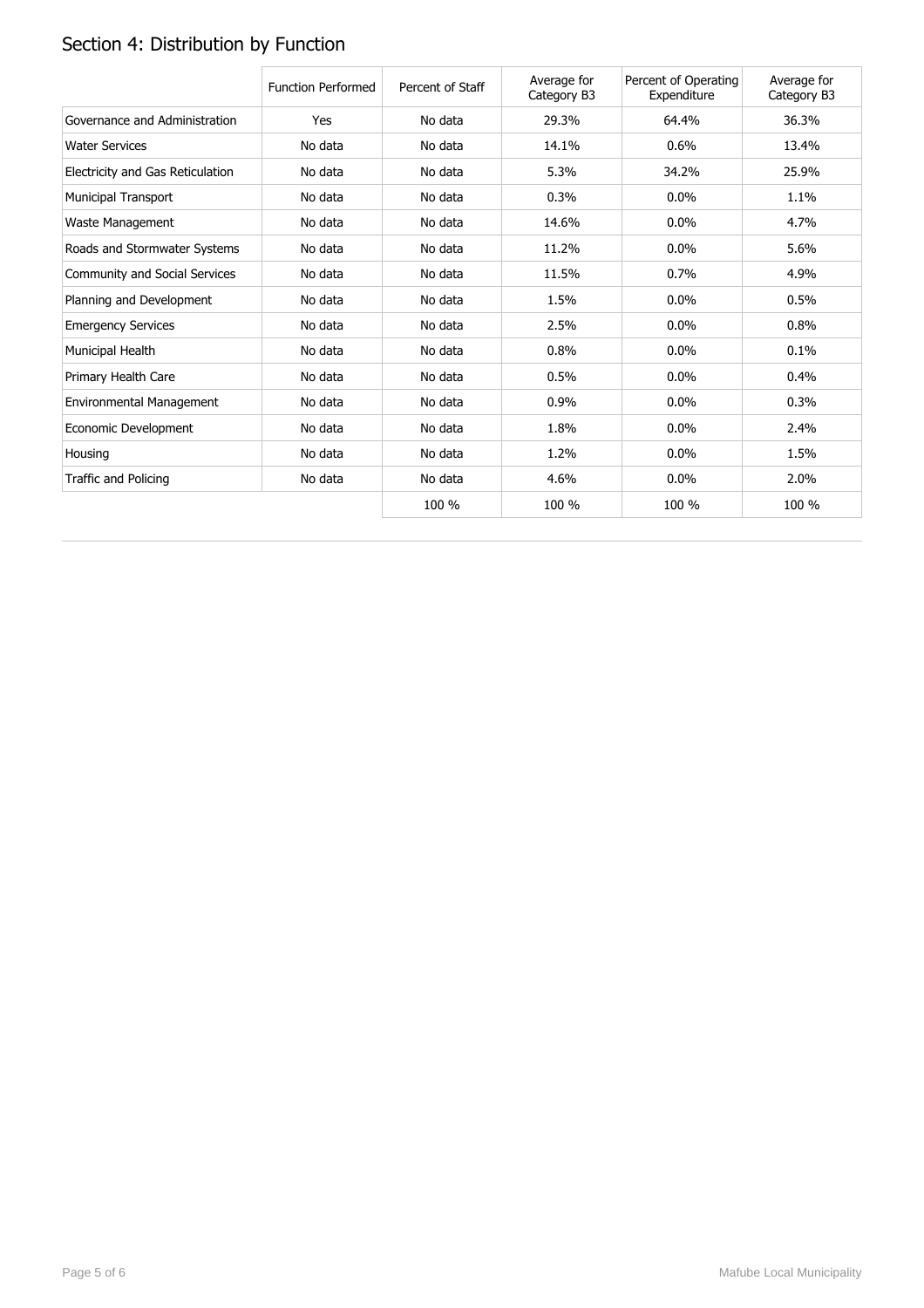# Section 4: Distribution by Function

|                                  | <b>Function Performed</b> | Percent of Staff | Average for<br>Category B3 | Percent of Operating<br>Expenditure | Average for<br>Category B3 |
|----------------------------------|---------------------------|------------------|----------------------------|-------------------------------------|----------------------------|
| Governance and Administration    | Yes                       | No data          | 29.3%                      | 64.4%                               | 36.3%                      |
| <b>Water Services</b>            | No data                   | No data          | 14.1%                      | 0.6%                                | 13.4%                      |
| Electricity and Gas Reticulation | No data                   | No data          | 5.3%                       | 34.2%                               | 25.9%                      |
| <b>Municipal Transport</b>       | No data                   | No data          | 0.3%                       | $0.0\%$                             | 1.1%                       |
| Waste Management                 | No data                   | No data          | 14.6%                      | $0.0\%$                             | 4.7%                       |
| Roads and Stormwater Systems     | No data                   | No data          | 11.2%                      | 0.0%                                | 5.6%                       |
| Community and Social Services    | No data                   | No data          | 11.5%                      | 0.7%                                | 4.9%                       |
| Planning and Development         | No data                   | No data          | 1.5%                       | 0.0%                                | 0.5%                       |
| <b>Emergency Services</b>        | No data                   | No data          | 2.5%                       | 0.0%                                | 0.8%                       |
| Municipal Health                 | No data                   | No data          | 0.8%                       | $0.0\%$                             | 0.1%                       |
| Primary Health Care              | No data                   | No data          | 0.5%                       | $0.0\%$                             | 0.4%                       |
| Environmental Management         | No data                   | No data          | 0.9%                       | $0.0\%$                             | 0.3%                       |
| Economic Development             | No data                   | No data          | 1.8%                       | 0.0%                                | 2.4%                       |
| Housing                          | No data                   | No data          | 1.2%                       | $0.0\%$                             | 1.5%                       |
| Traffic and Policing             | No data                   | No data          | 4.6%                       | $0.0\%$                             | 2.0%                       |
|                                  |                           | 100 %            | 100 %                      | 100 %                               | 100 %                      |